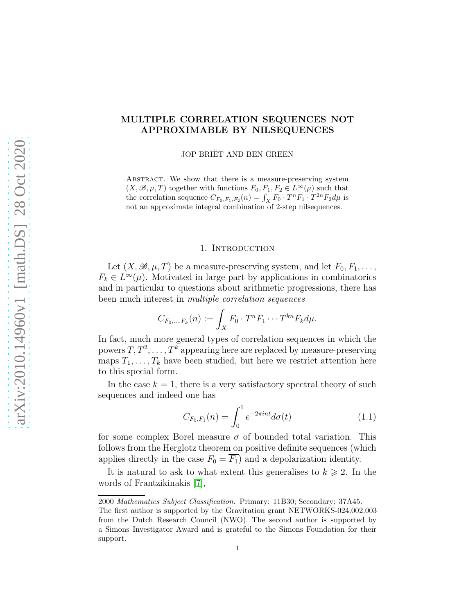# MULTIPLE CORRELATION SEQUENCES NOT APPROXIMABLE BY NILSEQUENCES

JOP BRIËT AND BEN GREEN

ABSTRACT. We show that there is a measure-preserving system  $(X, \mathscr{B}, \mu, T)$  together with functions  $F_0, F_1, F_2 \in L^{\infty}(\mu)$  such that the correlation sequence  $C_{F_0,F_1,F_2}(n) = \int_X F_0 \cdot T^n F_1 \cdot T^{2n} F_2 d\mu$  is not an approximate integral combination of 2-step nilsequences.

### 1. Introduction

Let  $(X, \mathscr{B}, \mu, T)$  be a measure-preserving system, and let  $F_0, F_1, \ldots$ ,  $F_k \in L^{\infty}(\mu)$ . Motivated in large part by applications in combinatorics and in particular to questions about arithmetic progressions, there has been much interest in multiple correlation sequences

$$
C_{F_0,\ldots,F_k}(n) := \int_X F_0 \cdot T^n F_1 \cdots T^{kn} F_k d\mu.
$$

In fact, much more general types of correlation sequences in which the powers  $T, T^2, \ldots, T^k$  appearing here are replaced by measure-preserving maps  $T_1, \ldots, T_k$  have been studied, but here we restrict attention here to this special form.

In the case  $k = 1$ , there is a very satisfactory spectral theory of such sequences and indeed one has

<span id="page-0-0"></span>
$$
C_{F_0,F_1}(n) = \int_0^1 e^{-2\pi int} d\sigma(t)
$$
 (1.1)

for some complex Borel measure  $\sigma$  of bounded total variation. This follows from the Herglotz theorem on positive definite sequences (which applies directly in the case  $F_0 = F_1$ ) and a depolarization identity.

It is natural to ask to what extent this generalises to  $k \geq 2$ . In the words of Frantzikinakis [\[7\]](#page-13-0),

<sup>2000</sup> Mathematics Subject Classification. Primary: 11B30; Secondary: 37A45.

The first author is supported by the Gravitation grant NETWORKS-024.002.003 from the Dutch Research Council (NWO). The second author is supported by a Simons Investigator Award and is grateful to the Simons Foundation for their support.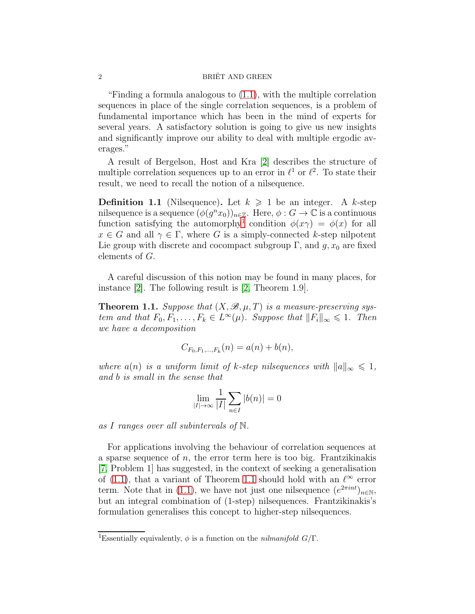"Finding a formula analogous to [\(1.1\)](#page-0-0), with the multiple correlation sequences in place of the single correlation sequences, is a problem of fundamental importance which has been in the mind of experts for several years. A satisfactory solution is going to give us new insights and significantly improve our ability to deal with multiple ergodic averages."

A result of Bergelson, Host and Kra [\[2\]](#page-13-1) describes the structure of multiple correlation sequences up to an error in  $\ell^1$  or  $\ell^2$ . To state their result, we need to recall the notion of a nilsequence.

**Definition 1.1** (Nilsequence). Let  $k \geq 1$  be an integer. A k-step nilsequence is a sequence  $(\phi(g^{n}x_0))_{n\in\mathbb{Z}}$ . Here,  $\phi: G\to\mathbb{C}$  is a continuous function satisfying the automorphy<sup>[1](#page-1-0)</sup> condition  $\phi(x\gamma) = \phi(x)$  for all  $x \in G$  and all  $\gamma \in \Gamma$ , where G is a simply-connected k-step nilpotent Lie group with discrete and cocompact subgroup  $\Gamma$ , and  $g, x_0$  are fixed elements of G.

A careful discussion of this notion may be found in many places, for instance [\[2\]](#page-13-1). The following result is [\[2,](#page-13-1) Theorem 1.9].

<span id="page-1-1"></span>**Theorem 1.1.** Suppose that  $(X, \mathcal{B}, \mu, T)$  is a measure-preserving system and that  $F_0, F_1, \ldots, F_k \in L^{\infty}(\mu)$ . Suppose that  $||F_i||_{\infty} \leq 1$ . Then we have a decomposition

$$
C_{F_0,F_1,...,F_k}(n) = a(n) + b(n),
$$

where  $a(n)$  is a uniform limit of k-step nilsequences with  $||a||_{\infty} \leq 1$ , and b is small in the sense that

$$
\lim_{|I| \to \infty} \frac{1}{|I|} \sum_{n \in I} |b(n)| = 0
$$

as I ranges over all subintervals of N.

For applications involving the behaviour of correlation sequences at a sparse sequence of  $n$ , the error term here is too big. Frantzikinakis [\[7,](#page-13-0) Problem 1] has suggested, in the context of seeking a generalisation of [\(1.1\)](#page-0-0), that a variant of Theorem [1.1](#page-1-1) should hold with an  $\ell^{\infty}$  error term. Note that in [\(1.1\)](#page-0-0), we have not just one nilsequence  $(e^{2\pi int})_{n\in\mathbb{N}},$ but an integral combination of (1-step) nilsequences. Frantzikinakis's formulation generalises this concept to higher-step nilsequences.

<span id="page-1-0"></span><sup>&</sup>lt;sup>1</sup>Essentially equivalently,  $\phi$  is a function on the *nilmanifold G*/Γ.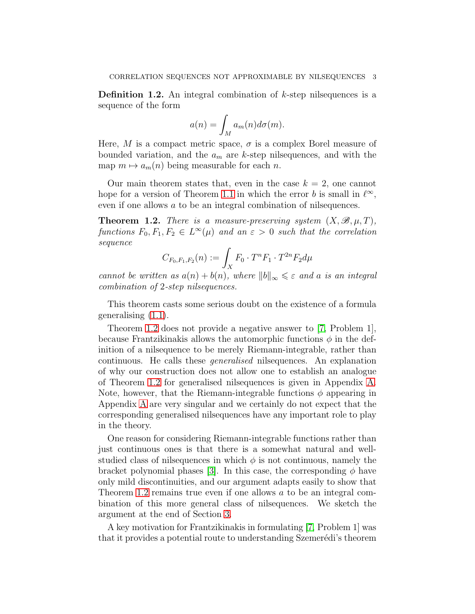**Definition 1.2.** An integral combination of  $k$ -step nilsequences is a sequence of the form

$$
a(n) = \int_M a_m(n) d\sigma(m).
$$

Here, M is a compact metric space,  $\sigma$  is a complex Borel measure of bounded variation, and the  $a_m$  are k-step nilsequences, and with the map  $m \mapsto a_m(n)$  being measurable for each n.

Our main theorem states that, even in the case  $k = 2$ , one cannot hope for a version of Theorem [1.1](#page-1-1) in which the error b is small in  $\ell^{\infty}$ , even if one allows a to be an integral combination of nilsequences.

<span id="page-2-0"></span>**Theorem 1.2.** There is a measure-preserving system  $(X, \mathcal{B}, \mu, T)$ , functions  $F_0, F_1, F_2 \in L^{\infty}(\mu)$  and an  $\varepsilon > 0$  such that the correlation sequence

$$
C_{F_0,F_1,F_2}(n) := \int_X F_0 \cdot T^n F_1 \cdot T^{2n} F_2 d\mu
$$

cannot be written as  $a(n) + b(n)$ , where  $||b||_{\infty} \leq \varepsilon$  and a is an integral combination of 2-step nilsequences.

This theorem casts some serious doubt on the existence of a formula generalising [\(1.1\)](#page-0-0).

Theorem [1.2](#page-2-0) does not provide a negative answer to [\[7,](#page-13-0) Problem 1], because Frantzikinakis allows the automorphic functions  $\phi$  in the definition of a nilsequence to be merely Riemann-integrable, rather than continuous. He calls these generalised nilsequences. An explanation of why our construction does not allow one to establish an analogue of Theorem [1.2](#page-2-0) for generalised nilsequences is given in Appendix [A.](#page-11-0) Note, however, that the Riemann-integrable functions  $\phi$  appearing in Appendix [A](#page-11-0) are very singular and we certainly do not expect that the corresponding generalised nilsequences have any important role to play in the theory.

One reason for considering Riemann-integrable functions rather than just continuous ones is that there is a somewhat natural and wellstudied class of nilsequences in which  $\phi$  is not continuous, namely the bracket polynomial phases [\[3\]](#page-13-2). In this case, the corresponding  $\phi$  have only mild discontinuities, and our argument adapts easily to show that Theorem [1.2](#page-2-0) remains true even if one allows a to be an integral combination of this more general class of nilsequences. We sketch the argument at the end of Section [3.](#page-4-0)

A key motivation for Frantzikinakis in formulating [\[7,](#page-13-0) Problem 1] was that it provides a potential route to understanding Szemerédi's theorem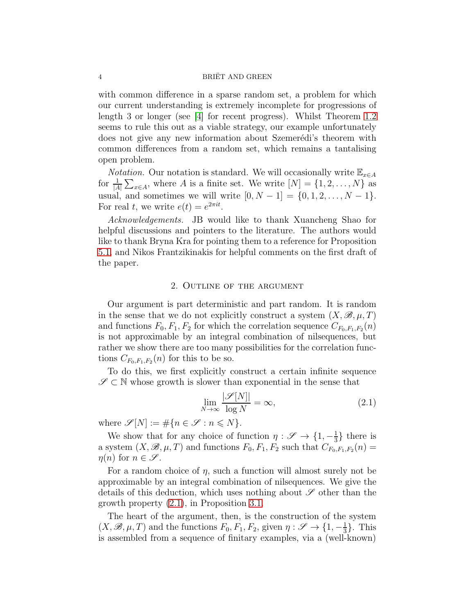with common difference in a sparse random set, a problem for which our current understanding is extremely incomplete for progressions of length 3 or longer (see [\[4\]](#page-13-3) for recent progress). Whilst Theorem [1.2](#page-2-0) seems to rule this out as a viable strategy, our example unfortunately does not give any new information about Szemerédi's theorem with common differences from a random set, which remains a tantalising open problem.

*Notation*. Our notation is standard. We will occasionally write  $\mathbb{E}_{x \in A}$ for  $\frac{1}{|A|} \sum_{x \in A}$ , where A is a finite set. We write  $[N] = \{1, 2, ..., N\}$  as usual, and sometimes we will write  $[0, N - 1] = \{0, 1, 2, ..., N - 1\}.$ For real t, we write  $e(t) = e^{2\pi i t}$ .

Acknowledgements. JB would like to thank Xuancheng Shao for helpful discussions and pointers to the literature. The authors would like to thank Bryna Kra for pointing them to a reference for Proposition [5.1,](#page-10-0) and Nikos Frantzikinakis for helpful comments on the first draft of the paper.

### 2. Outline of the argument

Our argument is part deterministic and part random. It is random in the sense that we do not explicitly construct a system  $(X, \mathscr{B}, \mu, T)$ and functions  $F_0, F_1, F_2$  for which the correlation sequence  $C_{F_0,F_1,F_2}(n)$ is not approximable by an integral combination of nilsequences, but rather we show there are too many possibilities for the correlation functions  $C_{F_0,F_1,F_2}(n)$  for this to be so.

To do this, we first explicitly construct a certain infinite sequence  $\mathscr{S} \subset \mathbb{N}$  whose growth is slower than exponential in the sense that

<span id="page-3-0"></span>
$$
\lim_{N \to \infty} \frac{|\mathscr{S}[N]|}{\log N} = \infty,\tag{2.1}
$$

where  $\mathscr{S}[N]:=\#\{n\in\mathscr{S}:n\leqslant N\}.$ 

We show that for any choice of function  $\eta: \mathscr{S} \to \{1, -\frac{1}{3}\}$  $\frac{1}{3}$  there is a system  $(X, \mathcal{B}, \mu, T)$  and functions  $F_0, F_1, F_2$  such that  $C_{F_0, F_1, F_2}(n) =$  $\eta(n)$  for  $n \in \mathscr{S}$ .

For a random choice of  $\eta$ , such a function will almost surely not be approximable by an integral combination of nilsequences. We give the details of this deduction, which uses nothing about  $\mathscr S$  other than the growth property [\(2.1\)](#page-3-0), in Proposition [3.1.](#page-4-1)

The heart of the argument, then, is the construction of the system  $(X, \mathscr{B}, \mu, T)$  and the functions  $F_0, F_1, F_2$ , given  $\eta: \mathscr{S} \to \{1, -\frac{1}{3}\}$  $\frac{1}{3}$ . This is assembled from a sequence of finitary examples, via a (well-known)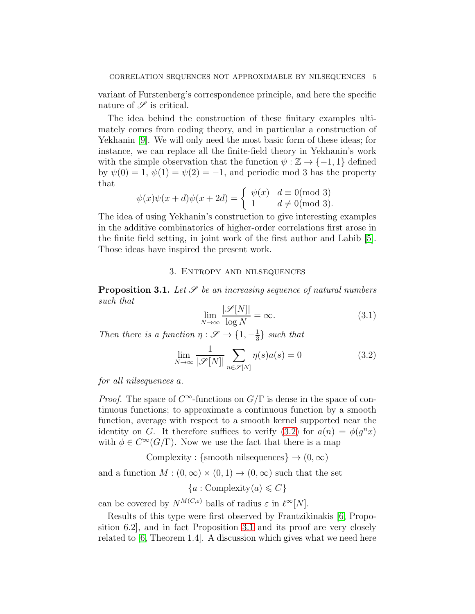variant of Furstenberg's correspondence principle, and here the specific nature of  $\mathscr S$  is critical.

The idea behind the construction of these finitary examples ultimately comes from coding theory, and in particular a construction of Yekhanin [\[9\]](#page-13-4). We will only need the most basic form of these ideas; for instance, we can replace all the finite-field theory in Yekhanin's work with the simple observation that the function  $\psi : \mathbb{Z} \to \{-1, 1\}$  defined by  $\psi(0) = 1, \psi(1) = \psi(2) = -1$ , and periodic mod 3 has the property that

$$
\psi(x)\psi(x+d)\psi(x+2d) = \begin{cases} \psi(x) & d \equiv 0 \pmod{3} \\ 1 & d \neq 0 \pmod{3}. \end{cases}
$$

The idea of using Yekhanin's construction to give interesting examples in the additive combinatorics of higher-order correlations first arose in the finite field setting, in joint work of the first author and Labib [\[5\]](#page-13-5). Those ideas have inspired the present work.

## 3. Entropy and nilsequences

<span id="page-4-1"></span><span id="page-4-0"></span>**Proposition 3.1.** Let  $\mathscr S$  be an increasing sequence of natural numbers such that

<span id="page-4-3"></span>
$$
\lim_{N \to \infty} \frac{|\mathcal{S}[N]|}{\log N} = \infty.
$$
\n(3.1)

Then there is a function  $\eta : \mathscr{S} \to \{1, -\frac{1}{3}\}$  $\frac{1}{3}$  such that

<span id="page-4-2"></span>
$$
\lim_{N \to \infty} \frac{1}{|\mathcal{S}[N]|} \sum_{n \in \mathcal{S}[N]} \eta(s)a(s) = 0
$$
\n(3.2)

for all nilsequences a.

*Proof.* The space of  $C^{\infty}$ -functions on  $G/\Gamma$  is dense in the space of continuous functions; to approximate a continuous function by a smooth function, average with respect to a smooth kernel supported near the identity on G. It therefore suffices to verify [\(3.2\)](#page-4-2) for  $a(n) = \phi(g^n x)$ with  $\phi \in C^{\infty}(G/\Gamma)$ . Now we use the fact that there is a map

Complexity : {smooth nilsequences}  $\rightarrow$   $(0, \infty)$ 

and a function  $M : (0, \infty) \times (0, 1) \to (0, \infty)$  such that the set

 ${a : \text{Complexity}(a) \leq C}$ 

can be covered by  $N^{M(C,\varepsilon)}$  balls of radius  $\varepsilon$  in  $\ell^{\infty}[N]$ .

Results of this type were first observed by Frantzikinakis [\[6,](#page-13-6) Proposition 6.2], and in fact Proposition [3.1](#page-4-1) and its proof are very closely related to  $[6,$  Theorem 1.4. A discussion which gives what we need here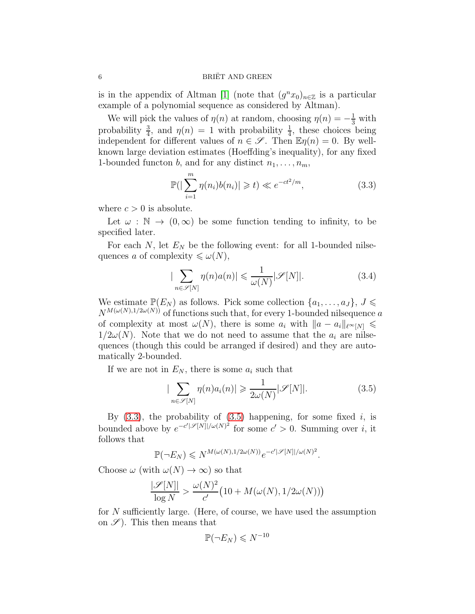is in the appendix of Altman [\[1\]](#page-13-7) (note that  $(g^n x_0)_{n \in \mathbb{Z}}$  is a particular example of a polynomial sequence as considered by Altman).

We will pick the values of  $\eta(n)$  at random, choosing  $\eta(n) = -\frac{1}{3}$  with probability  $\frac{3}{4}$ , and  $\eta(n) = 1$  with probability  $\frac{1}{4}$ , these choices being independent for different values of  $n \in \mathcal{S}$ . Then  $\mathbb{E} \eta(n) = 0$ . By wellknown large deviation estimates (Hoeffding's inequality), for any fixed 1-bounded functon b, and for any distinct  $n_1, \ldots, n_m$ ,

<span id="page-5-0"></span>
$$
\mathbb{P}(|\sum_{i=1}^{m} \eta(n_i)b(n_i)| \geq t) \ll e^{-ct^2/m}, \tag{3.3}
$$

where  $c > 0$  is absolute.

Let  $\omega : \mathbb{N} \to (0,\infty)$  be some function tending to infinity, to be specified later.

For each N, let  $E<sub>N</sub>$  be the following event: for all 1-bounded nilsequences a of complexity  $\leq \omega(N)$ ,

<span id="page-5-2"></span>
$$
|\sum_{n \in \mathscr{S}[N]} \eta(n)a(n)| \leq \frac{1}{\omega(N)} |\mathscr{S}[N]|.
$$
 (3.4)

We estimate  $\mathbb{P}(E_N)$  as follows. Pick some collection  $\{a_1, \ldots, a_J\}$ ,  $J \leq$  $N^{M(\omega(N),1/2\omega(N))}$  of functions such that, for every 1-bounded nilsequence a of complexity at most  $\omega(N)$ , there is some  $a_i$  with  $\|a - a_i\|_{\ell^{\infty}(N)} \leq$  $1/2\omega(N)$ . Note that we do not need to assume that the  $a_i$  are nilsequences (though this could be arranged if desired) and they are automatically 2-bounded.

If we are not in  $E_N$ , there is some  $a_i$  such that

<span id="page-5-1"></span>
$$
|\sum_{n \in \mathscr{S}[N]} \eta(n) a_i(n)| \geq \frac{1}{2\omega(N)} |\mathscr{S}[N]|.
$$
 (3.5)

By  $(3.3)$ , the probability of  $(3.5)$  happening, for some fixed i, is bounded above by  $e^{-c' |\mathscr{S}[N]|/\omega(N)^2}$  for some  $c' > 0$ . Summing over i, it follows that

$$
\mathbb{P}(\neg E_N) \leqslant N^{M(\omega(N),1/2\omega(N))}e^{-c'|\mathscr{S}[N]|/\omega(N)^2}.
$$

Choose  $\omega$  (with  $\omega(N) \to \infty$ ) so that

$$
\frac{|\mathscr{S}[N]|}{\log N} > \frac{\omega(N)^2}{c'} \big(10 + M(\omega(N), 1/2\omega(N))\big)
$$

for  $N$  sufficiently large. (Here, of course, we have used the assumption on  $\mathscr{S}$ ). This then means that

$$
\mathbb{P}(\neg E_N) \leq N^{-10}
$$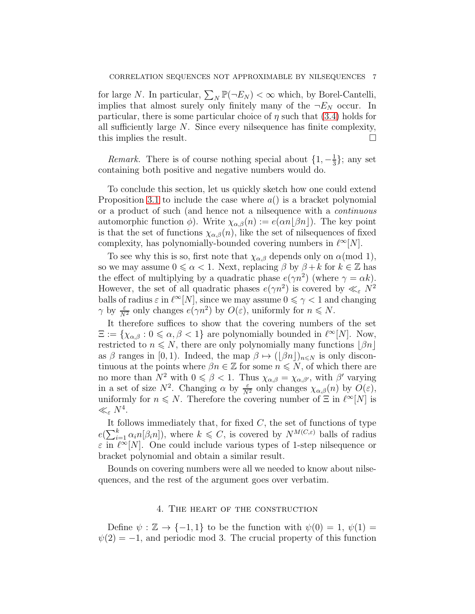for large N. In particular,  $\sum_N \mathbb{P}(\neg E_N) < \infty$  which, by Borel-Cantelli, implies that almost surely only finitely many of the  $\neg E_N$  occur. In particular, there is some particular choice of  $\eta$  such that [\(3.4\)](#page-5-2) holds for all sufficiently large N. Since every nilsequence has finite complexity, this implies the result.

*Remark.* There is of course nothing special about  $\{1, -\frac{1}{3}\}$  $\frac{1}{3}$ ; any set containing both positive and negative numbers would do.

To conclude this section, let us quickly sketch how one could extend Proposition [3.1](#page-4-1) to include the case where  $a()$  is a bracket polynomial or a product of such (and hence not a nilsequence with a continuous automorphic function  $\phi$ ). Write  $\chi_{\alpha,\beta}(n) := e(\alpha n|\beta n|)$ . The key point is that the set of functions  $\chi_{\alpha,\beta}(n)$ , like the set of nilsequences of fixed complexity, has polynomially-bounded covering numbers in  $\ell^{\infty}[N]$ .

To see why this is so, first note that  $\chi_{\alpha,\beta}$  depends only on  $\alpha \pmod{1}$ , so we may assume  $0 \le \alpha < 1$ . Next, replacing  $\beta$  by  $\beta + k$  for  $k \in \mathbb{Z}$  has the effect of multiplying by a quadratic phase  $e(\gamma n^2)$  (where  $\gamma = \alpha k$ ). However, the set of all quadratic phases  $e(\gamma n^2)$  is covered by  $\ll_{\varepsilon} N^2$ balls of radius  $\varepsilon$  in  $\ell^{\infty}[N]$ , since we may assume  $0 \le \gamma < 1$  and changing  $\gamma$  by  $\frac{\varepsilon}{N^2}$  only changes  $e(\gamma n^2)$  by  $O(\varepsilon)$ , uniformly for  $n \le N$ .

It therefore suffices to show that the covering numbers of the set  $\Xi := \{ \chi_{\alpha,\beta} : 0 \leq \alpha, \beta < 1 \}$  are polynomially bounded in  $\ell^{\infty}[N]$ . Now, restricted to  $n \leq N$ , there are only polynomially many functions  $|\beta n|$ as  $\beta$  ranges in [0, 1). Indeed, the map  $\beta \mapsto (\lfloor \beta n \rfloor)_{n \leq N}$  is only discontinuous at the points where  $\beta n \in \mathbb{Z}$  for some  $n \leq N$ , of which there are no more than  $N^2$  with  $0 \le \beta < 1$ . Thus  $\chi_{\alpha,\beta} = \chi_{\alpha,\beta'}$ , with  $\beta'$  varying in a set of size  $N^2$ . Changing  $\alpha$  by  $\frac{\varepsilon}{N^2}$  only changes  $\chi_{\alpha,\beta}(n)$  by  $O(\varepsilon)$ , uniformly for  $n \leq N$ . Therefore the covering number of  $\Xi$  in  $\ell^{\infty}[N]$  is  $\ll_{\varepsilon} N^4$ .

It follows immediately that, for fixed  $C$ , the set of functions of type  $e(\sum_{i=1}^k \alpha_i n[\beta_i n])$ , where  $k \leq C$ , is covered by  $N^{M(C,\varepsilon)}$  balls of radius  $\varepsilon$  in  $\ell^{\infty}[N]$ . One could include various types of 1-step nilsequence or bracket polynomial and obtain a similar result.

Bounds on covering numbers were all we needed to know about nilsequences, and the rest of the argument goes over verbatim.

#### 4. The heart of the construction

Define  $\psi : \mathbb{Z} \to \{-1,1\}$  to be the function with  $\psi(0) = 1, \psi(1) =$  $\psi(2) = -1$ , and periodic mod 3. The crucial property of this function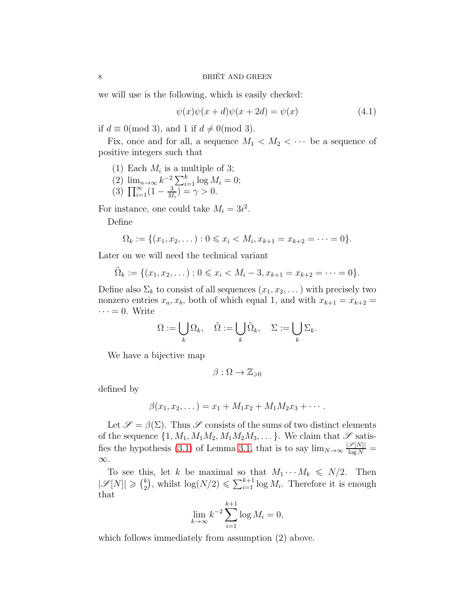we will use is the following, which is easily checked:

<span id="page-7-0"></span>
$$
\psi(x)\psi(x+d)\psi(x+2d) = \psi(x) \tag{4.1}
$$

if  $d \equiv 0 \pmod{3}$ , and 1 if  $d \neq 0 \pmod{3}$ .

Fix, once and for all, a sequence  $M_1 \langle M_2 \langle \cdots \rangle$  be a sequence of positive integers such that

(1) Each 
$$
M_i
$$
 is a multiple of 3;

(2)  $\lim_{n\to\infty} k^{-2} \sum_{i=1}^k \log M_i = 0;$ (3)  $\prod_{i=1}^{\infty} (1 - \frac{3}{M})$  $\frac{3}{M_i}$ ) =  $\gamma > 0$ .

For instance, one could take  $M_i = 3i^2$ .

Define

$$
\Omega_k := \{ (x_1, x_2, \dots) : 0 \leq x_i < M_i, x_{k+1} = x_{k+2} = \dots = 0 \}.
$$

Later on we will need the technical variant

$$
\tilde{\Omega}_k := \{ (x_1, x_2, \dots) : 0 \leq x_i < M_i - 3, x_{k+1} = x_{k+2} = \dots = 0 \}.
$$

Define also  $\Sigma_k$  to consist of all sequences  $(x_1, x_2, \dots)$  with precisely two nonzero entries  $x_a, x_b$ , both of which equal 1, and with  $x_{k+1} = x_{k+2}$  $\cdots = 0$ . Write

$$
\Omega := \bigcup_{k} \Omega_k, \quad \tilde{\Omega} := \bigcup_{k} \tilde{\Omega}_k, \quad \Sigma := \bigcup_{k} \Sigma_k.
$$

We have a bijective map

$$
\beta:\Omega\to\mathbb{Z}_{\geqslant 0}
$$

defined by

$$
\beta(x_1, x_2, \dots) = x_1 + M_1 x_2 + M_1 M_2 x_3 + \dots
$$

Let  $\mathscr{S} = \beta(\Sigma)$ . Thus  $\mathscr{S}$  consists of the sums of two distinct elements of the sequence  $\{1, M_1, M_1M_2, M_1M_2M_3, \dots\}$ . We claim that  $\mathscr S$  satis-fies the hypothesis [\(3.1\)](#page-4-3) of Lemma [3.1,](#page-4-1) that is to say  $\lim_{N\to\infty} \frac{|\mathscr{S}[N]|}{\log N}$ ∞.

To see this, let k be maximal so that  $M_1 \cdots M_k \leq N/2$ . Then  $|\mathscr{S}[N]| \geqslant {k \choose 2}$  $\binom{k}{2}$ , whilst  $\log(N/2) \leq \sum_{i=1}^{k+1} \log M_i$ . Therefore it is enough that  $k+1$ 

$$
\lim_{k \to \infty} k^{-2} \sum_{i=1}^{k+1} \log M_i = 0,
$$

which follows immediately from assumption  $(2)$  above.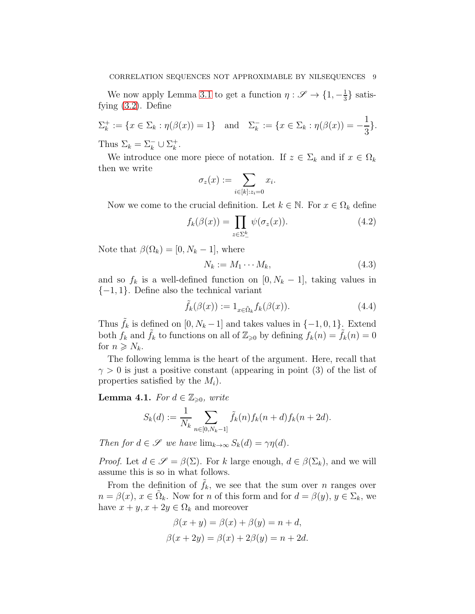We now apply Lemma [3.1](#page-4-1) to get a function  $\eta: \mathscr{S} \to \{1, -\frac{1}{3}\}$  $\frac{1}{3}$  satisfying [\(3.2\)](#page-4-2). Define

 $\Sigma_k^+$  $\mathcal{L}_k^+ := \{ x \in \Sigma_k : \eta(\beta(x)) = 1 \}$  and  $\mathcal{L}_k^- := \{ x \in \Sigma_k : \eta(\beta(x)) = -1 \}$ 1 3 }. Thus  $\Sigma_k = \Sigma_k^- \cup \Sigma_k^+$  $\frac{k}{k}$ .

We introduce one more piece of notation. If  $z \in \Sigma_k$  and if  $x \in \Omega_k$ then we write

$$
\sigma_z(x) := \sum_{i \in [k]: z_i = 0} x_i.
$$

Now we come to the crucial definition. Let  $k \in \mathbb{N}$ . For  $x \in \Omega_k$  define

$$
f_k(\beta(x)) = \prod_{z \in \Sigma_-^k} \psi(\sigma_z(x)). \tag{4.2}
$$

Note that  $\beta(\Omega_k) = [0, N_k - 1]$ , where

$$
N_k := M_1 \cdots M_k,\tag{4.3}
$$

and so  $f_k$  is a well-defined function on  $[0, N_k - 1]$ , taking values in  $\{-1, 1\}$ . Define also the technical variant

$$
\tilde{f}_k(\beta(x)) := 1_{x \in \tilde{\Omega}_k} f_k(\beta(x)). \tag{4.4}
$$

Thus  $\tilde{f}_k$  is defined on  $[0, N_k - 1]$  and takes values in  $\{-1, 0, 1\}$ . Extend both  $f_k$  and  $\tilde{f}_k$  to functions on all of  $\mathbb{Z}_{\geqslant 0}$  by defining  $f_k(n) = \tilde{f}_k(n) = 0$ for  $n \geqslant N_k$ .

The following lemma is the heart of the argument. Here, recall that  $\gamma > 0$  is just a positive constant (appearing in point (3) of the list of properties satisfied by the  $M_i$ ).

<span id="page-8-0"></span>**Lemma 4.1.** For  $d \in \mathbb{Z}_{\geq 0}$ , write

$$
S_k(d) := \frac{1}{N_k} \sum_{n \in [0, N_k - 1]} \tilde{f}_k(n) f_k(n + d) f_k(n + 2d).
$$

Then for  $d \in \mathscr{S}$  we have  $\lim_{k \to \infty} S_k(d) = \gamma \eta(d)$ .

*Proof.* Let  $d \in \mathscr{S} = \beta(\Sigma)$ . For k large enough,  $d \in \beta(\Sigma_k)$ , and we will assume this is so in what follows.

From the definition of  $\tilde{f}_k$ , we see that the sum over n ranges over  $n = \beta(x)$ ,  $x \in \tilde{\Omega}_k$ . Now for n of this form and for  $d = \beta(y)$ ,  $y \in \Sigma_k$ , we have  $x + y$ ,  $x + 2y \in \Omega_k$  and moreover

$$
\beta(x + y) = \beta(x) + \beta(y) = n + d,
$$
  

$$
\beta(x + 2y) = \beta(x) + 2\beta(y) = n + 2d.
$$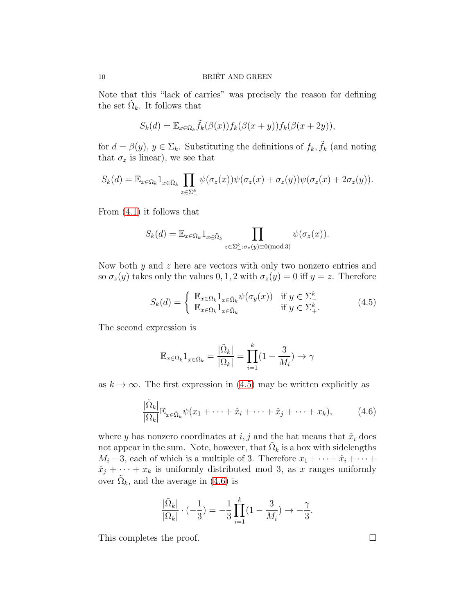Note that this "lack of carries" was precisely the reason for defining the set  $\tilde{\Omega}_k$ . It follows that

$$
S_k(d) = \mathbb{E}_{x \in \Omega_k} \tilde{f}_k(\beta(x)) f_k(\beta(x+y)) f_k(\beta(x+2y)),
$$

for  $d = \beta(y)$ ,  $y \in \Sigma_k$ . Substituting the definitions of  $f_k, \tilde{f}_k$  (and noting that  $\sigma_z$  is linear), we see that

$$
S_k(d) = \mathbb{E}_{x \in \Omega_k} 1_{x \in \tilde{\Omega}_k} \prod_{z \in \Sigma_{-}^k} \psi(\sigma_z(x)) \psi(\sigma_z(x) + \sigma_z(y)) \psi(\sigma_z(x) + 2\sigma_z(y)).
$$

From [\(4.1\)](#page-7-0) it follows that

$$
S_k(d) = \mathbb{E}_{x \in \Omega_k} 1_{x \in \tilde{\Omega}_k} \prod_{z \in \Sigma_{-}^k : \sigma_z(y) \equiv 0 \pmod{3}} \psi(\sigma_z(x)).
$$

Now both y and z here are vectors with only two nonzero entries and so  $\sigma_z(y)$  takes only the values 0, 1, 2 with  $\sigma_z(y) = 0$  iff  $y = z$ . Therefore

<span id="page-9-0"></span>
$$
S_k(d) = \begin{cases} \mathbb{E}_{x \in \Omega_k} 1_{x \in \tilde{\Omega}_k} \psi(\sigma_y(x)) & \text{if } y \in \Sigma_{-}^k \\ \mathbb{E}_{x \in \Omega_k} 1_{x \in \tilde{\Omega}_k} & \text{if } y \in \Sigma_{+}^k. \end{cases}
$$
(4.5)

The second expression is

$$
\mathbb{E}_{x \in \Omega_k} 1_{x \in \tilde{\Omega}_k} = \frac{|\tilde{\Omega}_k|}{|\Omega_k|} = \prod_{i=1}^k (1 - \frac{3}{M_i}) \to \gamma
$$

as  $k \to \infty$ . The first expression in [\(4.5\)](#page-9-0) may be written explicitly as

<span id="page-9-1"></span>
$$
\frac{|\tilde{\Omega}_k|}{|\Omega_k|} \mathbb{E}_{x \in \tilde{\Omega}_k} \psi(x_1 + \dots + \hat{x}_i + \dots + \hat{x}_j + \dots + x_k), \tag{4.6}
$$

where y has nonzero coordinates at  $i, j$  and the hat means that  $\hat{x}_i$  does not appear in the sum. Note, however, that  $\tilde{\Omega}_k$  is a box with sidelengths  $M_i - 3$ , each of which is a multiple of 3. Therefore  $x_1 + \cdots + \hat{x}_i + \cdots$  $\hat{x}_j + \cdots + x_k$  is uniformly distributed mod 3, as x ranges uniformly over  $\tilde{\Omega}_k$ , and the average in [\(4.6\)](#page-9-1) is

$$
\frac{|\tilde{\Omega}_k|}{|\Omega_k|} \cdot (-\frac{1}{3}) = -\frac{1}{3} \prod_{i=1}^k (1 - \frac{3}{M_i}) \to -\frac{\gamma}{3}.
$$

This completes the proof.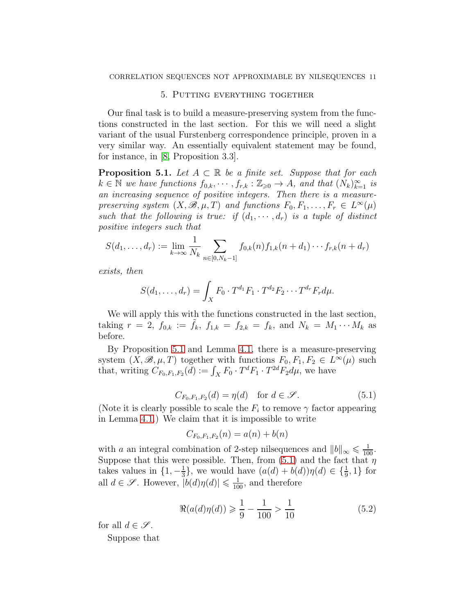# 5. Putting everything together

Our final task is to build a measure-preserving system from the functions constructed in the last section. For this we will need a slight variant of the usual Furstenberg correspondence principle, proven in a very similar way. An essentially equivalent statement may be found, for instance, in [\[8,](#page-13-8) Proposition 3.3].

<span id="page-10-0"></span>**Proposition 5.1.** Let  $A \subset \mathbb{R}$  be a finite set. Suppose that for each  $k \in \mathbb{N}$  we have functions  $f_{0,k}, \dots, f_{r,k} : \mathbb{Z}_{\geqslant 0} \to A$ , and that  $(N_k)_{k=1}^{\infty}$  is an increasing sequence of positive integers. Then there is a measurepreserving system  $(X, \mathscr{B}, \mu, T)$  and functions  $F_0, F_1, \ldots, F_r \in L^{\infty}(\mu)$ such that the following is true: if  $(d_1, \dots, d_r)$  is a tuple of distinct positive integers such that

$$
S(d_1,\ldots,d_r) := \lim_{k\to\infty} \frac{1}{N_k} \sum_{n\in[0,N_k-1]} f_{0,k}(n) f_{1,k}(n+d_1)\cdots f_{r,k}(n+d_r)
$$

exists, then

$$
S(d_1,\ldots,d_r)=\int_X F_0\cdot T^{d_1}F_1\cdot T^{d_2}F_2\cdots T^{d_r}F_r d\mu.
$$

We will apply this with the functions constructed in the last section, taking  $r = 2$ ,  $f_{0,k} := \tilde{f}_k$ ,  $f_{1,k} = f_{2,k} = f_k$ , and  $N_k = M_1 \cdots M_k$  as before.

By Proposition [5.1](#page-10-0) and Lemma [4.1,](#page-8-0) there is a measure-preserving system  $(\bar{X}, \mathscr{B}, \mu, T)$  together with functions  $F_0, F_1, F_2 \in L^{\infty}(\mu)$  such that, writing  $C_{F_0,F_1,F_2}(d) := \int_X F_0 \cdot T^d F_1 \cdot T^{2d} F_2 d\mu$ , we have

<span id="page-10-1"></span>
$$
C_{F_0, F_1, F_2}(d) = \eta(d) \quad \text{for } d \in \mathcal{S}.
$$
 (5.1)

(Note it is clearly possible to scale the  $F_i$  to remove  $\gamma$  factor appearing in Lemma [4.1.](#page-8-0)) We claim that it is impossible to write

$$
C_{F_0,F_1,F_2}(n) = a(n) + b(n)
$$

with a an integral combination of 2-step nilsequences and  $||b||_{\infty} \leq \frac{1}{100}$ . Suppose that this were possible. Then, from  $(5.1)$  and the fact that  $\eta$ takes values in  $\{1, -\frac{1}{3}\}$  $\frac{1}{3}$ , we would have  $(a(d) + b(d))\eta(d) \in {\frac{1}{9}, 1}$  for all  $d \in \mathscr{S}$ . However,  $|b(d)\eta(d)| \leq \frac{1}{100}$ , and therefore

<span id="page-10-2"></span>
$$
\Re(a(d)\eta(d)) \geq \frac{1}{9} - \frac{1}{100} > \frac{1}{10}
$$
\n(5.2)

for all  $d \in \mathcal{S}$ .

Suppose that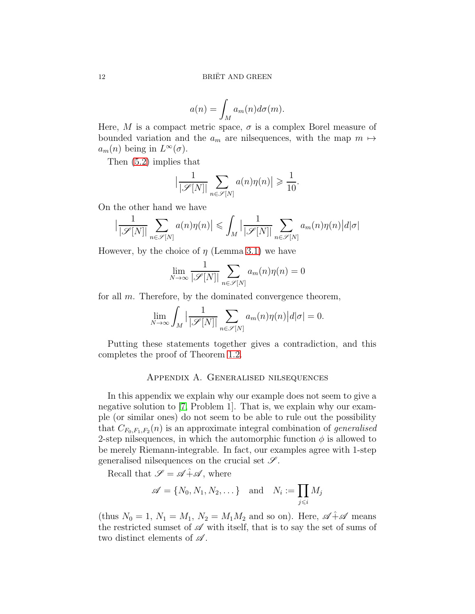$$
a(n) = \int_M a_m(n) d\sigma(m).
$$

Here, M is a compact metric space,  $\sigma$  is a complex Borel measure of bounded variation and the  $a_m$  are nilsequences, with the map  $m \mapsto$  $a_m(n)$  being in  $L^{\infty}(\sigma)$ .

Then [\(5.2\)](#page-10-2) implies that

$$
\left|\frac{1}{|\mathscr{S}[N]|}\sum_{n\in\mathscr{S}[N]}a(n)\eta(n)\right|\geqslant\frac{1}{10}.
$$

On the other hand we have

$$
\left|\frac{1}{|\mathscr{S}[N]|}\sum_{n\in\mathscr{S}[N]}a(n)\eta(n)\right|\leqslant\int_M\left|\frac{1}{|\mathscr{S}[N]|}\sum_{n\in\mathscr{S}[N]}a_m(n)\eta(n)\right|d|\sigma|
$$

However, by the choice of  $\eta$  (Lemma [3.1\)](#page-4-1) we have

$$
\lim_{N \to \infty} \frac{1}{|\mathcal{S}[N]|} \sum_{n \in \mathcal{S}[N]} a_m(n)\eta(n) = 0
$$

for all  $m$ . Therefore, by the dominated convergence theorem,

$$
\lim_{N \to \infty} \int_M \left| \frac{1}{|\mathcal{S}[N]|} \sum_{n \in \mathcal{S}[N]} a_m(n) \eta(n) \right| d|\sigma| = 0.
$$

<span id="page-11-0"></span>Putting these statements together gives a contradiction, and this completes the proof of Theorem [1.2.](#page-2-0)

## Appendix A. Generalised nilsequences

In this appendix we explain why our example does not seem to give a negative solution to [\[7,](#page-13-0) Problem 1]. That is, we explain why our example (or similar ones) do not seem to be able to rule out the possibility that  $C_{F_0,F_1,F_2}(n)$  is an approximate integral combination of *generalised* 2-step nilsequences, in which the automorphic function  $\phi$  is allowed to be merely Riemann-integrable. In fact, our examples agree with 1-step generalised nilsequences on the crucial set  $\mathscr{S}$ .

Recall that  $\mathscr{S} = \mathscr{A} + \mathscr{A}$ , where

$$
\mathscr{A} = \{N_0, N_1, N_2, \dots\} \quad \text{and} \quad N_i := \prod_{j \leq i} M_j
$$

(thus  $N_0 = 1$ ,  $N_1 = M_1$ ,  $N_2 = M_1 M_2$  and so on). Here,  $\mathscr{A} \hat{+} \mathscr{A}$  means the restricted sumset of  $\mathscr A$  with itself, that is to say the set of sums of two distinct elements of  $\mathscr A$ .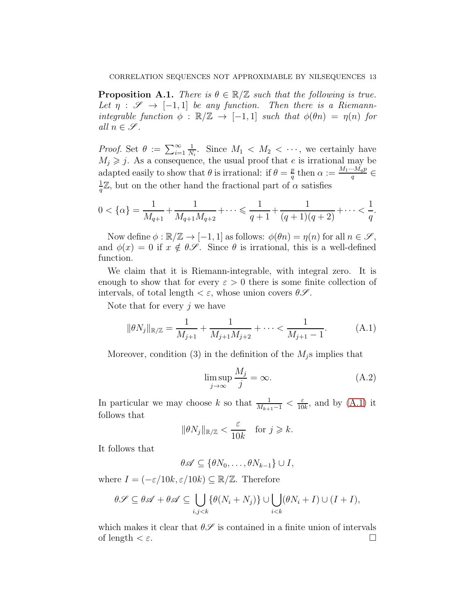**Proposition A.1.** There is  $\theta \in \mathbb{R}/\mathbb{Z}$  such that the following is true. Let  $\eta : \mathscr{S} \to [-1,1]$  be any function. Then there is a Riemannintegrable function  $\phi : \mathbb{R}/\mathbb{Z} \to [-1,1]$  such that  $\phi(\theta n) = \eta(n)$  for all  $n \in \mathcal{S}$ .

*Proof.* Set  $\theta := \sum_{i=1}^{\infty}$ 1  $\frac{1}{N_i}$ . Since  $M_1 \langle M_2 \langle \cdots \rangle$ , we certainly have  $M_j \geq j$ . As a consequence, the usual proof that e is irrational may be adapted easily to show that  $\theta$  is irrational: if  $\theta = \frac{p}{q}$  $\frac{p}{q}$  then  $\alpha := \frac{M_1 \cdots M_q p}{q}$  $rac{m_q p}{q} \in$ 1  $\frac{1}{q}\mathbb{Z}$ , but on the other hand the fractional part of  $\alpha$  satisfies

$$
0 < \{\alpha\} = \frac{1}{M_{q+1}} + \frac{1}{M_{q+1}M_{q+2}} + \dots \leq \frac{1}{q+1} + \frac{1}{(q+1)(q+2)} + \dots < \frac{1}{q}.
$$

Now define  $\phi : \mathbb{R}/\mathbb{Z} \to [-1,1]$  as follows:  $\phi(\theta n) = \eta(n)$  for all  $n \in \mathscr{S}$ , and  $\phi(x) = 0$  if  $x \notin \theta \mathscr{S}$ . Since  $\theta$  is irrational, this is a well-defined function.

We claim that it is Riemann-integrable, with integral zero. It is enough to show that for every  $\varepsilon > 0$  there is some finite collection of intervals, of total length  $\langle \varepsilon, \mathbf{w} \rangle$  whose union covers  $\theta \mathscr{S}$ .

Note that for every  $j$  we have

<span id="page-12-0"></span>
$$
\|\theta N_j\|_{\mathbb{R}/\mathbb{Z}} = \frac{1}{M_{j+1}} + \frac{1}{M_{j+1}M_{j+2}} + \dots < \frac{1}{M_{j+1} - 1}.
$$
 (A.1)

Moreover, condition (3) in the definition of the  $M_i$ s implies that

$$
\limsup_{j \to \infty} \frac{M_j}{j} = \infty.
$$
\n(A.2)

In particular we may choose k so that  $\frac{1}{M_{k+1}-1} < \frac{\varepsilon}{10}$  $\frac{\varepsilon}{10k}$ , and by  $(A.1)$  it follows that

$$
\|\theta N_j\|_{\mathbb{R}/\mathbb{Z}} < \frac{\varepsilon}{10k} \quad \text{for } j \geq k.
$$

It follows that

$$
\theta \mathscr{A} \subseteq \{ \theta N_0, \ldots, \theta N_{k-1} \} \cup I,
$$

where  $I = (-\varepsilon/10k, \varepsilon/10k) \subseteq \mathbb{R}/\mathbb{Z}$ . Therefore

$$
\theta \mathscr{S} \subseteq \theta \mathscr{A} + \theta \mathscr{A} \subseteq \bigcup_{i,j < k} \{\theta(N_i + N_j)\} \cup \bigcup_{i < k} (\theta N_i + I) \cup (I + I),
$$

which makes it clear that  $\theta \mathscr{S}$  is contained in a finite union of intervals of length  $\lt \varepsilon$ .